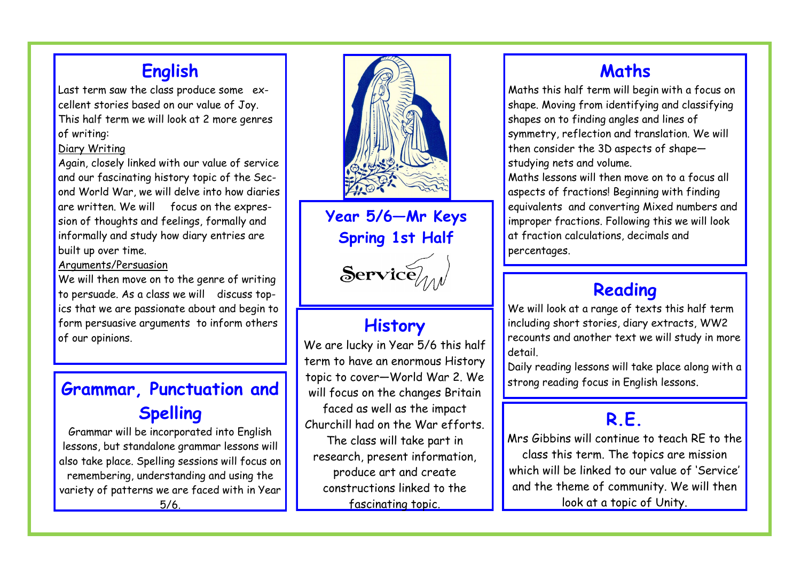## **English**

Last term saw the class produce some excellent stories based on our value of Joy. This half term we will look at 2 more genres of writing:

#### Diary Writing

Again, closely linked with our value of service and our fascinating history topic of the Second World War, we will delve into how diaries are written. We will focus on the expression of thoughts and feelings, formally and informally and study how diary entries are built up over time.

#### Arguments/Persuasion

We will then move on to the genre of writing to persuade. As a class we will discuss topics that we are passionate about and begin to form persuasive arguments to inform others of our opinions.

# **Grammar, Punctuation and Spelling**

Grammar will be incorporated into English lessons, but standalone grammar lessons will also take place. Spelling sessions will focus on remembering, understanding and using the variety of patterns we are faced with in Year 5/6.



**Year 5/6—Mr Keys Spring 1st Half**

 $S$ ervice

# **History**

We are lucky in Year 5/6 this half term to have an enormous History topic to cover—World War 2. We will focus on the changes Britain faced as well as the impact Churchill had on the War efforts. The class will take part in research, present information, produce art and create constructions linked to the fascinating topic.

## **Maths**

Maths this half term will begin with a focus on shape. Moving from identifying and classifying shapes on to finding angles and lines of symmetry, reflection and translation. We will then consider the 3D aspects of shape studying nets and volume.

Maths lessons will then move on to a focus all aspects of fractions! Beginning with finding equivalents and converting Mixed numbers and improper fractions. Following this we will look at fraction calculations, decimals and percentages.

## **Reading**

We will look at a range of texts this half term including short stories, diary extracts, WW2 recounts and another text we will study in more detail.

Daily reading lessons will take place along with a strong reading focus in English lessons.

## **R.E.**

Mrs Gibbins will continue to teach RE to the class this term. The topics are mission which will be linked to our value of 'Service' and the theme of community. We will then look at a topic of Unity.